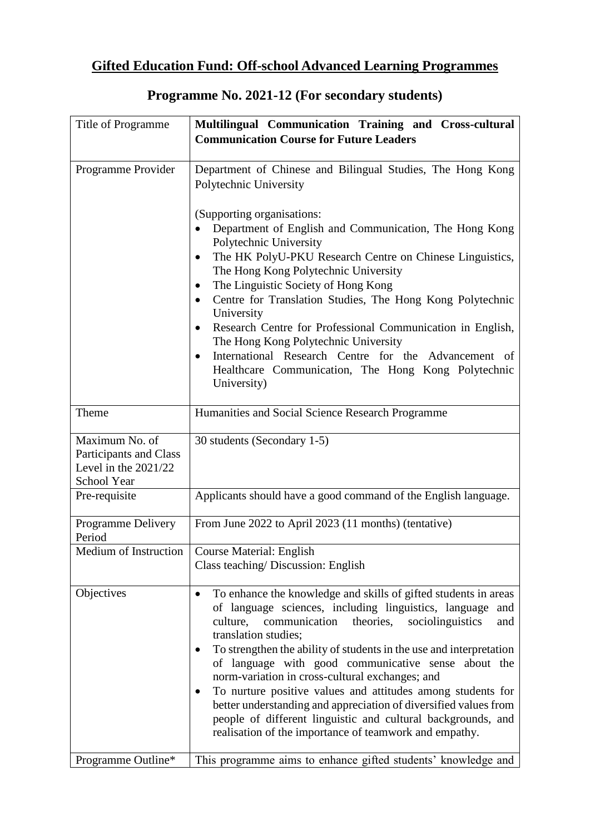## **Gifted Education Fund: Off-school Advanced Learning Programmes**

| Title of Programme                                                                | Multilingual Communication Training and Cross-cultural<br><b>Communication Course for Future Leaders</b>                                                                                                                                                                                                                                                                                                                                                                                                                                                                                                                                                                                |
|-----------------------------------------------------------------------------------|-----------------------------------------------------------------------------------------------------------------------------------------------------------------------------------------------------------------------------------------------------------------------------------------------------------------------------------------------------------------------------------------------------------------------------------------------------------------------------------------------------------------------------------------------------------------------------------------------------------------------------------------------------------------------------------------|
| Programme Provider                                                                | Department of Chinese and Bilingual Studies, The Hong Kong<br>Polytechnic University<br>(Supporting organisations:<br>Department of English and Communication, The Hong Kong<br>Polytechnic University<br>The HK PolyU-PKU Research Centre on Chinese Linguistics,<br>The Hong Kong Polytechnic University<br>The Linguistic Society of Hong Kong<br>Centre for Translation Studies, The Hong Kong Polytechnic<br>$\bullet$<br>University<br>Research Centre for Professional Communication in English,<br>The Hong Kong Polytechnic University<br>International Research Centre for the Advancement of<br>$\bullet$<br>Healthcare Communication, The Hong Kong Polytechnic             |
| Theme                                                                             | University)<br>Humanities and Social Science Research Programme                                                                                                                                                                                                                                                                                                                                                                                                                                                                                                                                                                                                                         |
| Maximum No. of<br>Participants and Class<br>Level in the $2021/22$<br>School Year | 30 students (Secondary 1-5)                                                                                                                                                                                                                                                                                                                                                                                                                                                                                                                                                                                                                                                             |
| Pre-requisite                                                                     | Applicants should have a good command of the English language.                                                                                                                                                                                                                                                                                                                                                                                                                                                                                                                                                                                                                          |
| Programme Delivery<br>Period                                                      | From June 2022 to April 2023 (11 months) (tentative)                                                                                                                                                                                                                                                                                                                                                                                                                                                                                                                                                                                                                                    |
| Medium of Instruction                                                             | <b>Course Material: English</b><br>Class teaching/ Discussion: English                                                                                                                                                                                                                                                                                                                                                                                                                                                                                                                                                                                                                  |
| Objectives                                                                        | To enhance the knowledge and skills of gifted students in areas<br>$\bullet$<br>of language sciences, including linguistics, language<br>and<br>theories,<br>culture,<br>communication<br>sociolinguistics<br>and<br>translation studies;<br>To strengthen the ability of students in the use and interpretation<br>of language with good communicative sense about the<br>norm-variation in cross-cultural exchanges; and<br>To nurture positive values and attitudes among students for<br>better understanding and appreciation of diversified values from<br>people of different linguistic and cultural backgrounds, and<br>realisation of the importance of teamwork and empathy. |
| Programme Outline*                                                                | This programme aims to enhance gifted students' knowledge and                                                                                                                                                                                                                                                                                                                                                                                                                                                                                                                                                                                                                           |

## **Programme No. 2021-12 (For secondary students)**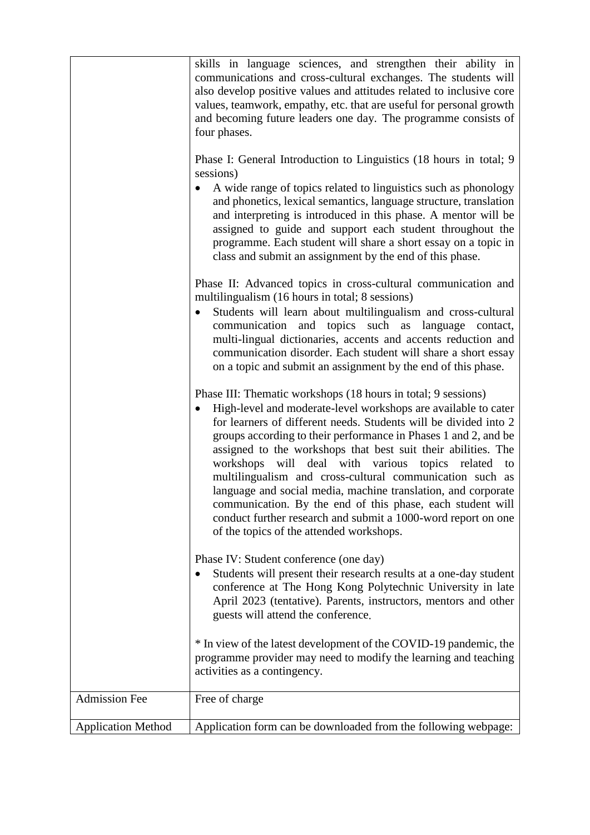|                           | skills in language sciences, and strengthen their ability in<br>communications and cross-cultural exchanges. The students will<br>also develop positive values and attitudes related to inclusive core<br>values, teamwork, empathy, etc. that are useful for personal growth<br>and becoming future leaders one day. The programme consists of<br>four phases.<br>Phase I: General Introduction to Linguistics (18 hours in total; 9<br>sessions)<br>A wide range of topics related to linguistics such as phonology<br>and phonetics, lexical semantics, language structure, translation<br>and interpreting is introduced in this phase. A mentor will be<br>assigned to guide and support each student throughout the<br>programme. Each student will share a short essay on a topic in<br>class and submit an assignment by the end of this phase.<br>Phase II: Advanced topics in cross-cultural communication and<br>multilingualism (16 hours in total; 8 sessions)<br>Students will learn about multilingualism and cross-cultural<br>$\bullet$<br>communication and topics such as language contact,<br>multi-lingual dictionaries, accents and accents reduction and<br>communication disorder. Each student will share a short essay<br>on a topic and submit an assignment by the end of this phase. |
|---------------------------|-------------------------------------------------------------------------------------------------------------------------------------------------------------------------------------------------------------------------------------------------------------------------------------------------------------------------------------------------------------------------------------------------------------------------------------------------------------------------------------------------------------------------------------------------------------------------------------------------------------------------------------------------------------------------------------------------------------------------------------------------------------------------------------------------------------------------------------------------------------------------------------------------------------------------------------------------------------------------------------------------------------------------------------------------------------------------------------------------------------------------------------------------------------------------------------------------------------------------------------------------------------------------------------------------------------------|
|                           | Phase III: Thematic workshops (18 hours in total; 9 sessions)<br>High-level and moderate-level workshops are available to cater<br>for learners of different needs. Students will be divided into 2<br>groups according to their performance in Phases 1 and 2, and be<br>assigned to the workshops that best suit their abilities. The<br>workshops will deal with various topics related to<br>multilingualism and cross-cultural communication such as<br>language and social media, machine translation, and corporate<br>communication. By the end of this phase, each student will<br>conduct further research and submit a 1000-word report on one<br>of the topics of the attended workshops.                                                                                                                                                                                                                                                                                                                                                                                                                                                                                                                                                                                                             |
|                           | Phase IV: Student conference (one day)<br>Students will present their research results at a one-day student<br>conference at The Hong Kong Polytechnic University in late<br>April 2023 (tentative). Parents, instructors, mentors and other<br>guests will attend the conference.                                                                                                                                                                                                                                                                                                                                                                                                                                                                                                                                                                                                                                                                                                                                                                                                                                                                                                                                                                                                                                |
|                           | * In view of the latest development of the COVID-19 pandemic, the<br>programme provider may need to modify the learning and teaching<br>activities as a contingency.                                                                                                                                                                                                                                                                                                                                                                                                                                                                                                                                                                                                                                                                                                                                                                                                                                                                                                                                                                                                                                                                                                                                              |
| <b>Admission Fee</b>      | Free of charge                                                                                                                                                                                                                                                                                                                                                                                                                                                                                                                                                                                                                                                                                                                                                                                                                                                                                                                                                                                                                                                                                                                                                                                                                                                                                                    |
| <b>Application Method</b> | Application form can be downloaded from the following webpage:                                                                                                                                                                                                                                                                                                                                                                                                                                                                                                                                                                                                                                                                                                                                                                                                                                                                                                                                                                                                                                                                                                                                                                                                                                                    |